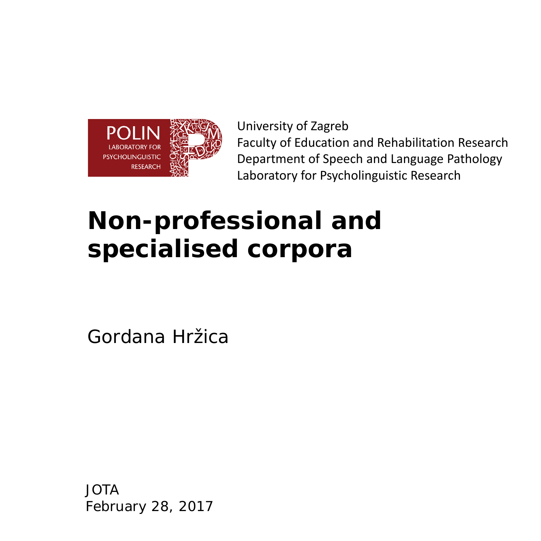

University of Zagreb Faculty of Education and Rehabilitation Research Department of Speech and Language Pathology Laboratory for Psycholinguistic Research

## **Non-professional and specialised corpora**

Gordana Hržica

JOTA February 28, 2017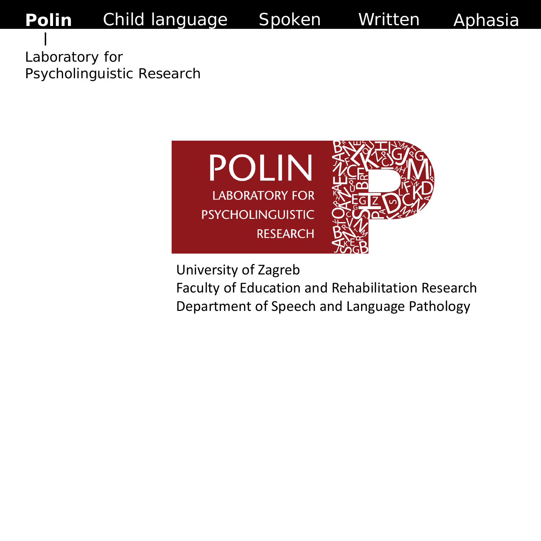Aphasia

Laboratory for Psycholinguistic Research



University of Zagreb

Faculty of Education and Rehabilitation Research Department of Speech and Language Pathology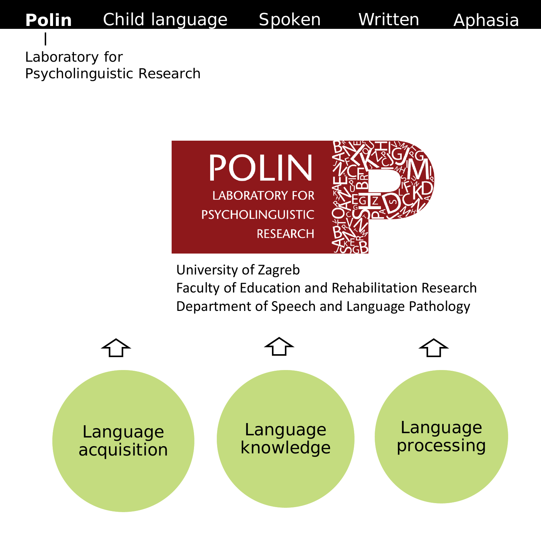Aphasia

Laboratory for Psycholinguistic Research





University of Zagreb

Faculty of Education and Rehabilitation Research Department of Speech and Language Pathology

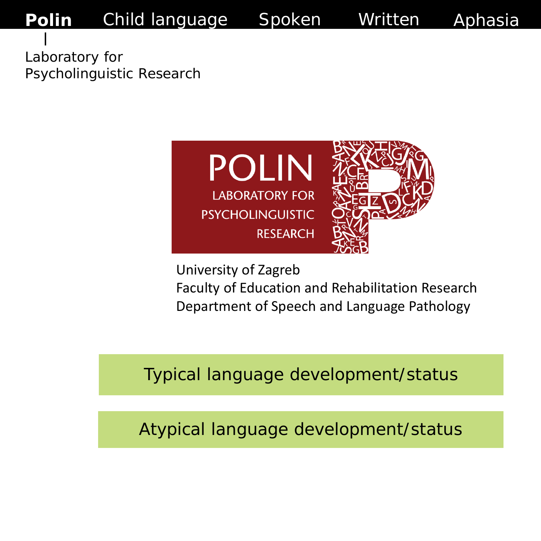Laboratory for Psycholinguistic Research



University of Zagreb

Faculty of Education and Rehabilitation Research Department of Speech and Language Pathology

Aphasia

Typical language development/status

Atypical language development/status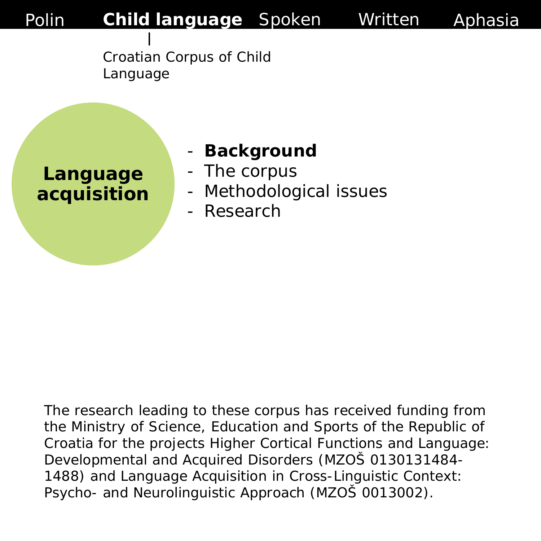

Croatian Corpus of Child Language

**Language acquisition**

#### - **Background**

- The corpus
- Methodological issues
- Research

The research leading to these corpus has received funding from the Ministry of Science, Education and Sports of the Republic of Croatia for the projects Higher Cortical Functions and Language: Developmental and Acquired Disorders (MZOŠ 0130131484- 1488) and Language Acquisition in Cross-Linguistic Context: Psycho- and Neurolinguistic Approach (MZOŠ 0013002).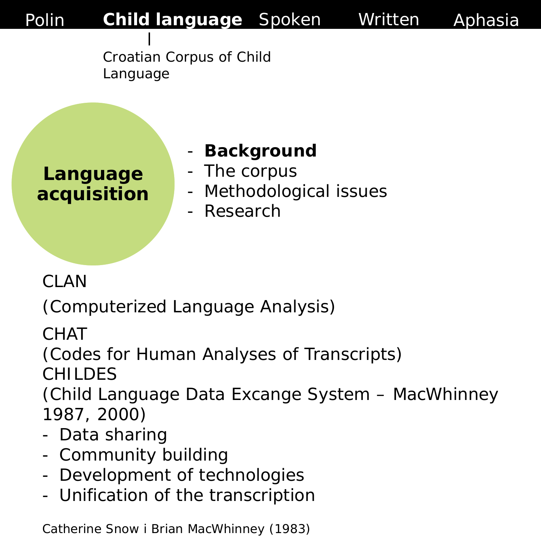> Croatian Corpus of Child Language

**Language acquisition**

#### - **Background**

- The corpus
- Methodological issues
- Research

CLAN

(Computerized Language Analysis)

**CHAT** 

(Codes for Human Analyses of Transcripts)

CHILDES

(Child Language Data Excange System – MacWhinney 1987, 2000)

- Data sharing
- Community building
- Development of technologies
- Unification of the transcription

Catherine Snow i Brian MacWhinney (1983)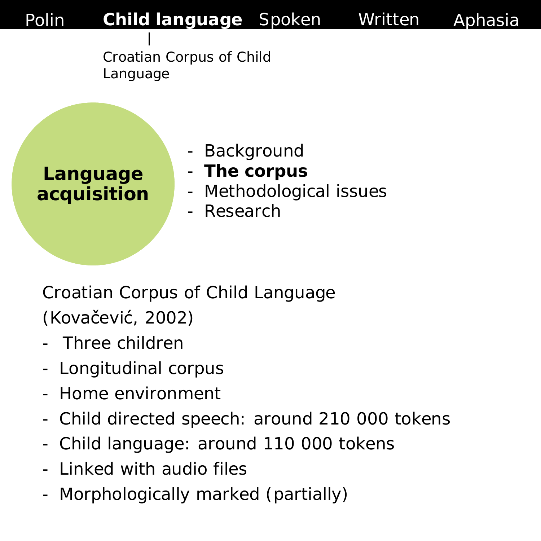

Croatian Corpus of Child Language

**Language acquisition**

- **Background**
- **The corpus**
- Methodological issues
- **Research**

*Croatian Corpus of Child Language*  (Kovačević, 2002)

- Three children
- Longitudinal corpus
- Home environment
- Child directed speech: around 210 000 tokens
- Child language: around 110 000 tokens
- Linked with audio files
- Morphologically marked (partially)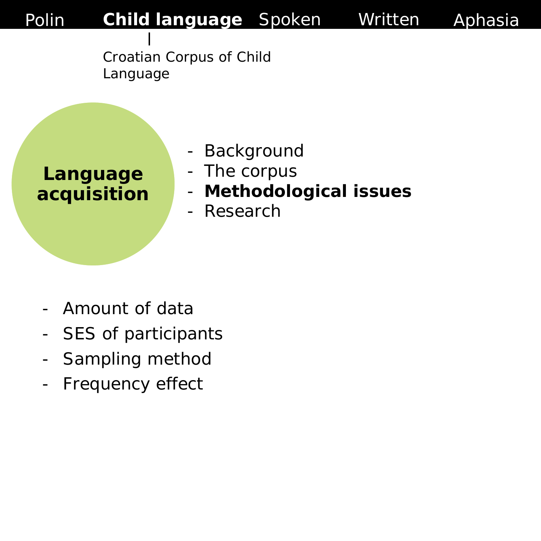

Croatian Corpus of Child Language

**Language acquisition**

- Background
- The corpus
- **Methodological issues**
- Research

- Amount of data
- SES of participants
- Sampling method
- Frequency effect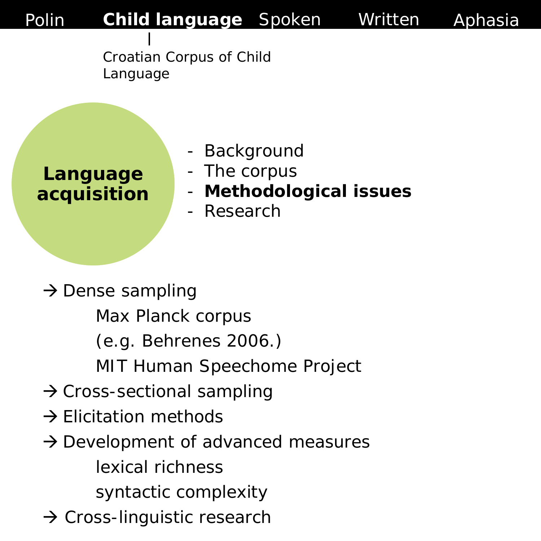Croatian Corpus of Child Language

**Language acquisition**

- Background
- The corpus
- **Methodological issues**
- **Research**

 $\rightarrow$  Dense sampling

- Max Planck corpus
- (e.g. Behrenes 2006.)
- MIT Human Speechome Project
- $\rightarrow$  Cross-sectional sampling
- $\rightarrow$  Elicitation methods
- $\rightarrow$  Development of advanced measures
	- lexical richness
	- syntactic complexity
- $\rightarrow$  Cross-linguistic research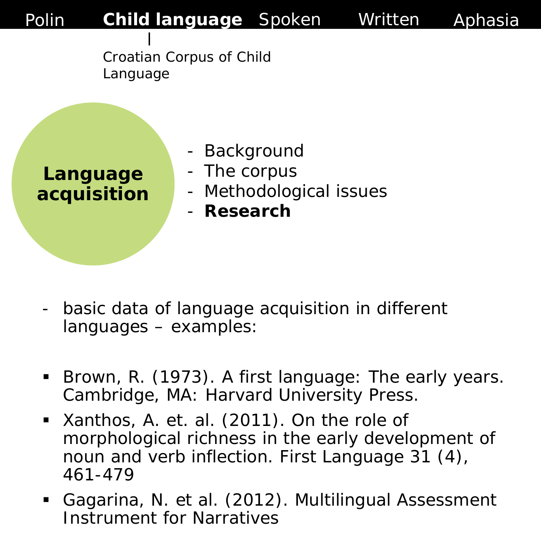

Croatian Corpus of Child Language

**Language acquisition**

- Background
- The corpus
- Methodological issues
- **Research**

- basic data of language acquisition in different languages – examples:
- Brown, R. (1973). A first language: The early years. Cambridge, MA: Harvard University Press.
- **Xanthos, A. et. al. (2011). On the role of** morphological richness in the early development of noun and verb inflection. First Language 31 (4), 461-479
- Gagarina, N. et al. (2012). Multilingual Assessment Instrument for Narratives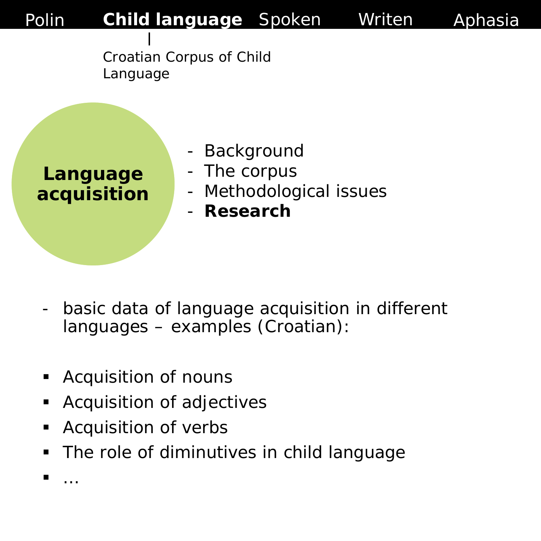

Croatian Corpus of Child Language

**Language acquisition**

- Background
- The corpus
- Methodological issues
- **Research**

- basic data of language acquisition in different languages – examples (Croatian):
- Acquisition of nouns
- **Acquisition of adjectives**
- **Acquisition of verbs**
- The role of diminutives in child language

**■**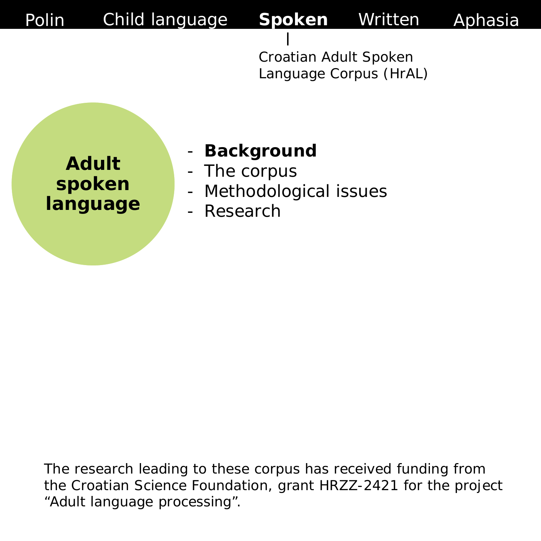> Croatian Adult Spoken Language Corpus (HrAL)

**Adult spoken language**

#### - **Background**

- The corpus
- Methodological issues
- **Research**

The research leading to these corpus has received funding from the Croatian Science Foundation, grant HRZZ-2421 for the project "Adult language processing".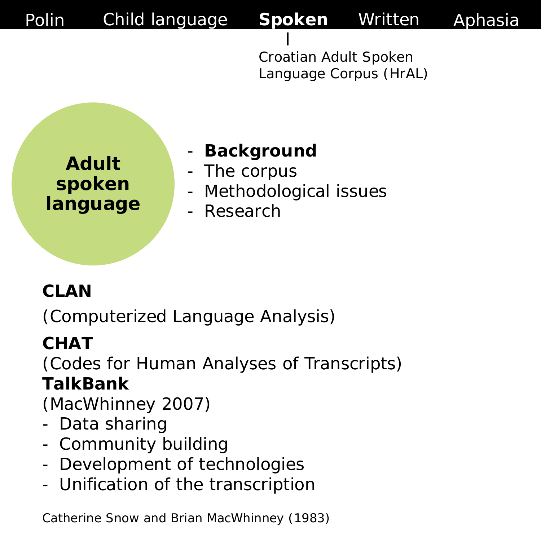> Croatian Adult Spoken Language Corpus (HrAL)

**Adult spoken language**

#### - **Background**

- The corpus
- Methodological issues
- **Research**

#### **CLAN**

(Computerized Language Analysis)

### **CHAT**

(Codes for Human Analyses of Transcripts) **TalkBank**

(MacWhinney 2007)

- Data sharing
- Community building
- Development of technologies
- Unification of the transcription

Catherine Snow and Brian MacWhinney (1983)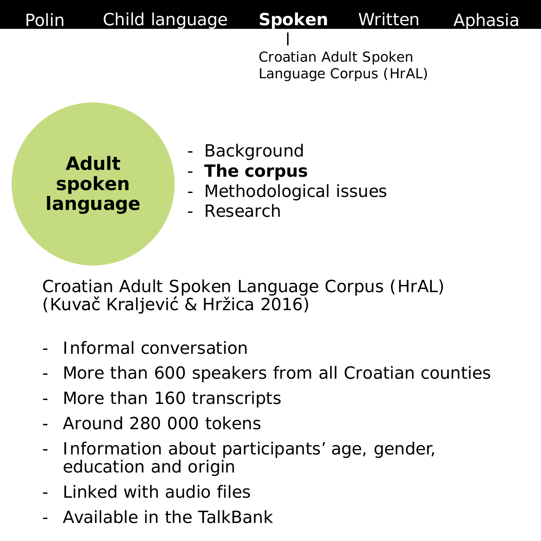> Croatian Adult Spoken Language Corpus (HrAL)

**Adult spoken language**

- Background
- **The corpus**
- Methodological issues
- **Research**

*Croatian Adult Spoken Language Corpus (HrAL)*  (Kuvač Kraljević & Hržica 2016)

- Informal conversation
- More than 600 speakers from all Croatian counties
- More than 160 transcripts
- Around 280 000 tokens
- Information about participants' age, gender, education and origin
- Linked with audio files
- Available in the TalkBank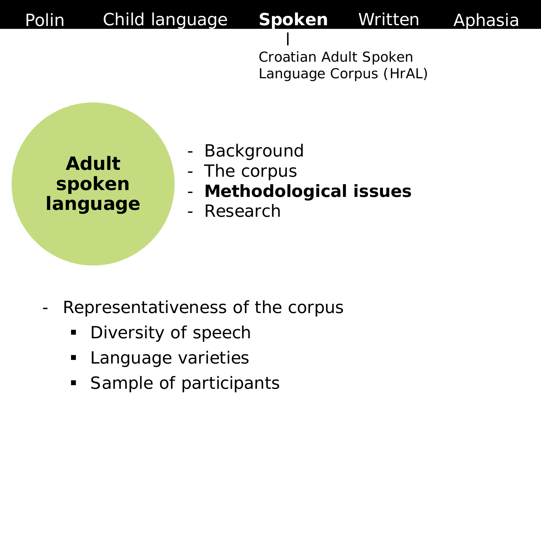> Croatian Adult Spoken Language Corpus (HrAL)

- **Background**
- The corpus
- **Methodological issues**
- **Research**

- Representativeness of the corpus
	- **Diversity of speech**
	- **Language varieties**
	- **Sample of participants**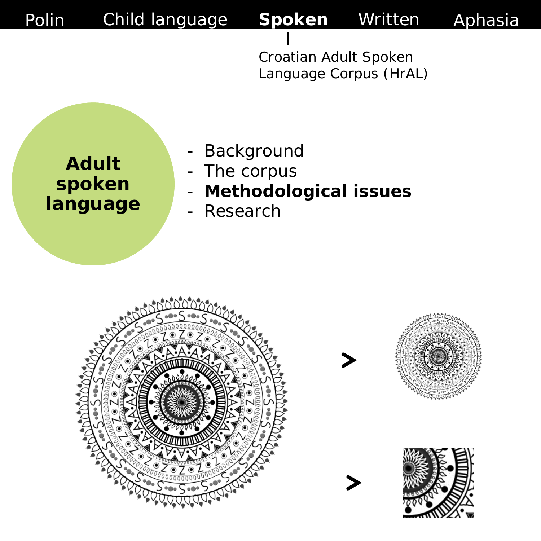> Croatian Adult Spoken Language Corpus (HrAL)

- **Background**
- The corpus
- **Methodological issues**
- Research

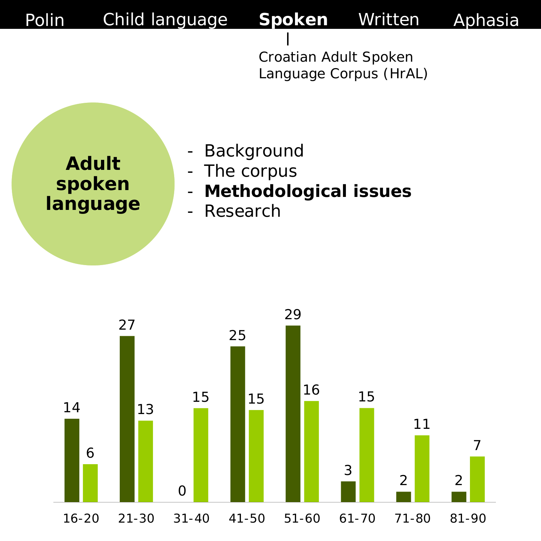> Croatian Adult Spoken Language Corpus (HrAL)

- Background
- The corpus
- **Methodological issues**
- Research

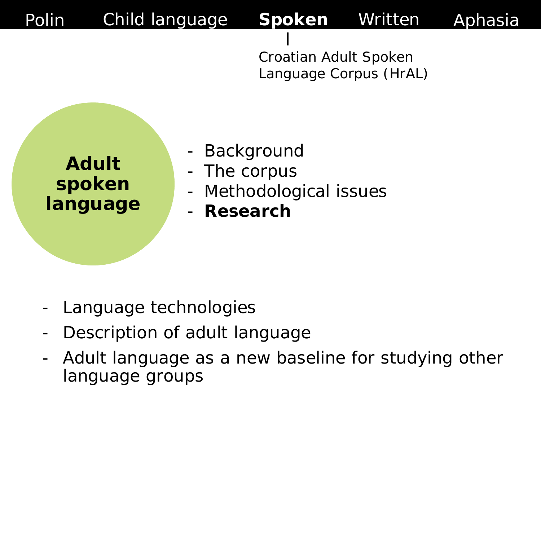

Croatian Adult Spoken Language Corpus (HrAL)

- **Background**
- The corpus
- Methodological issues
- **Research**

- Language technologies
- Description of adult language
- Adult language as a new baseline for studying other language groups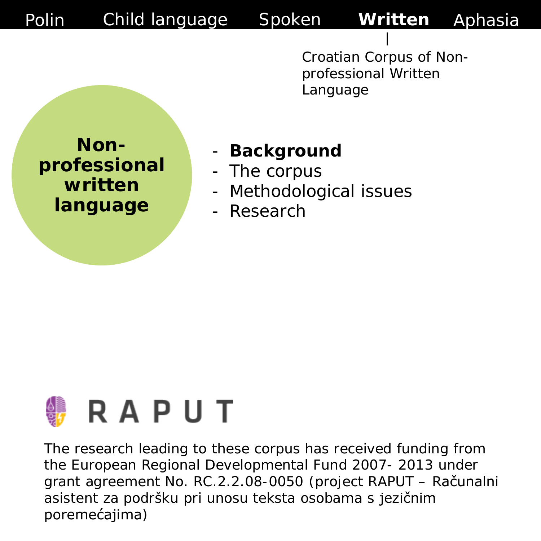**Nonprofessional written language**

#### - **Background**

- The corpus
- Methodological issues
- **Research**



The research leading to these corpus has received funding from the European Regional Developmental Fund 2007- 2013 under grant agreement No. RC.2.2.08-0050 (project RAPUT – Računalni asistent za podršku pri unosu teksta osobama s jezičnim poremećajima)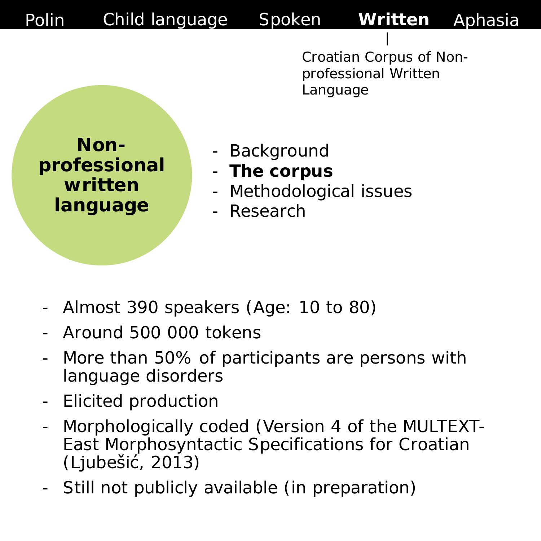**Nonprofessional written language**

- **Background**
- **The corpus**
- Methodological issues
- Research

- Almost 390 speakers (Age: 10 to 80)
- Around 500 000 tokens
- More than 50% of participants are persons with language disorders
- Elicited production
- Morphologically coded (Version 4 of the MULTEXT-East Morphosyntactic Specifications for Croatian (Ljubešić, 2013)
- Still not publicly available (in preparation)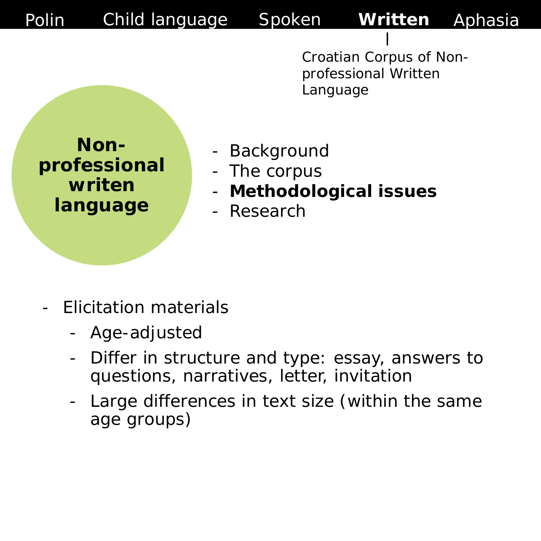**Nonprofessional writen language**

- **Background**
- The corpus
- **Methodological issues**
- Research

- Elicitation materials
	- Age-adjusted
	- Differ in structure and type: essay, answers to questions, narratives, letter, invitation
	- Large differences in text size (within the same age groups)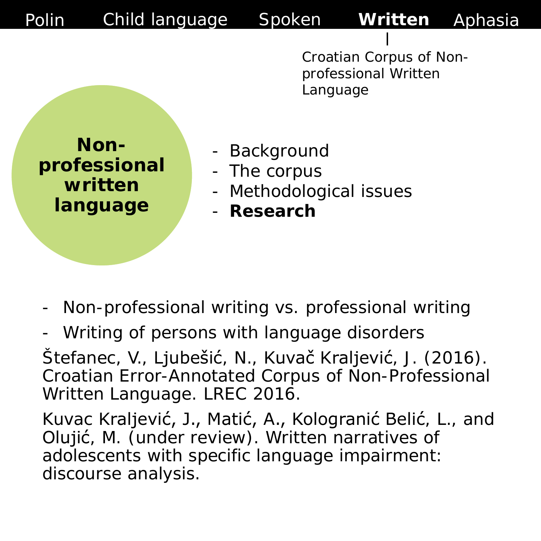**Nonprofessional written language**

- **Background**
- The corpus
- Methodological issues
- **Research**

- Non-professional writing vs. professional writing
- Writing of persons with language disorders

Štefanec, V., Ljubešić, N., Kuvač Kraljević, J. (2016). Croatian Error-Annotated Corpus of Non-Professional Written Language. LREC 2016.

Kuvac Kraljević, J., Matić, A., Kologranić Belić, L., and Olujić, M. (under review). Written narratives of adolescents with specific language impairment: discourse analysis.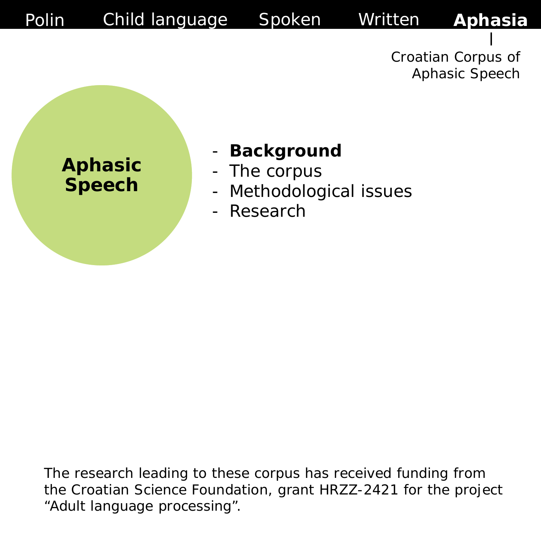

The research leading to these corpus has received funding from the Croatian Science Foundation, grant HRZZ-2421 for the project "Adult language processing".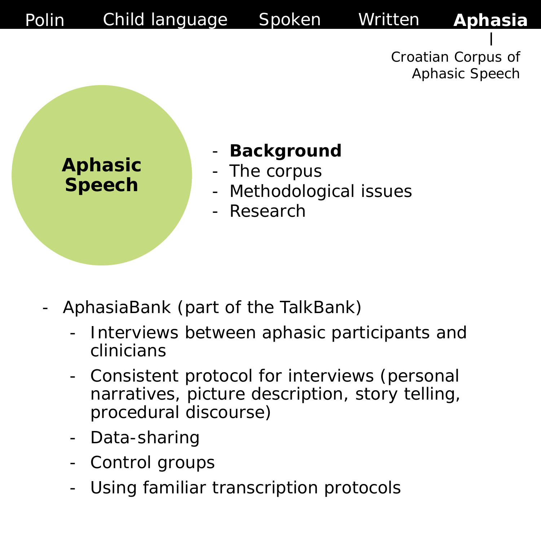

- **Background**
- 
- Methodological issues

- AphasiaBank (part of the TalkBank)
	- Interviews between aphasic participants and clinicians
	- Consistent protocol for interviews (personal narratives, picture description, story telling, procedural discourse)
	- Data-sharing
	- Control groups
	- Using familiar transcription protocols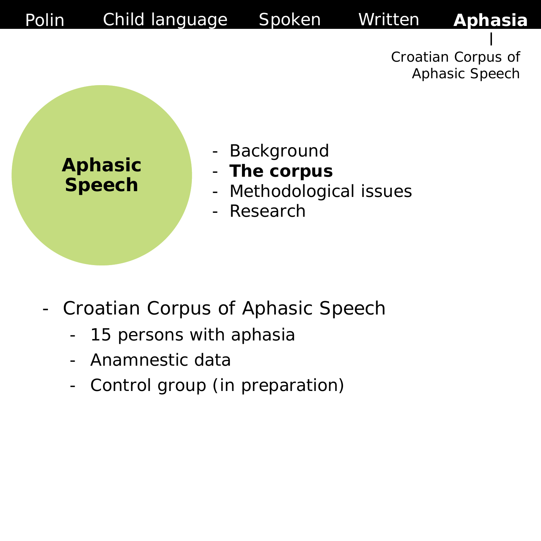

- *Croatian Corpus of Aphasic Speech*
	- 15 persons with aphasia
	- Anamnestic data
	- Control group (in preparation)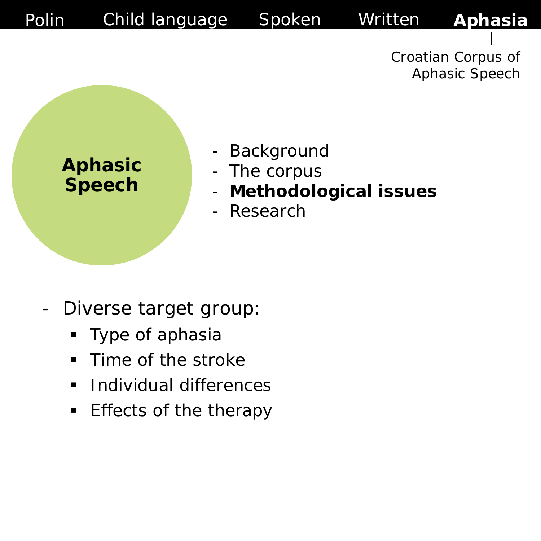

- Diverse target group:
	- **Type of aphasia**
	- **Time of the stroke**
	- **Individual differences**
	- **Effects of the therapy**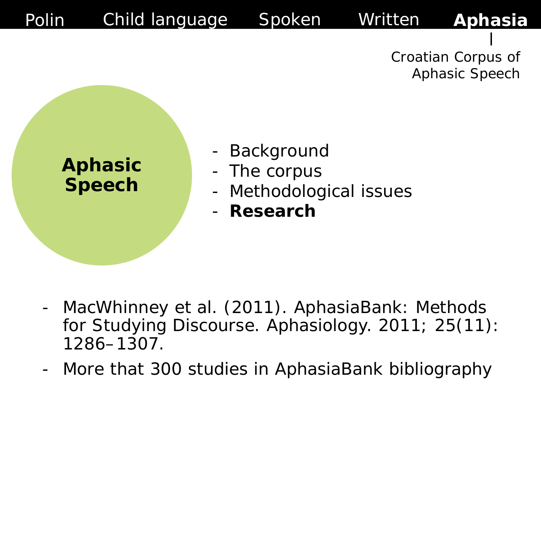

- MacWhinney et al. (2011). AphasiaBank: Methods for Studying Discourse. Aphasiology. 2011; 25(11): 1286–1307.
- More that 300 studies in AphasiaBank bibliography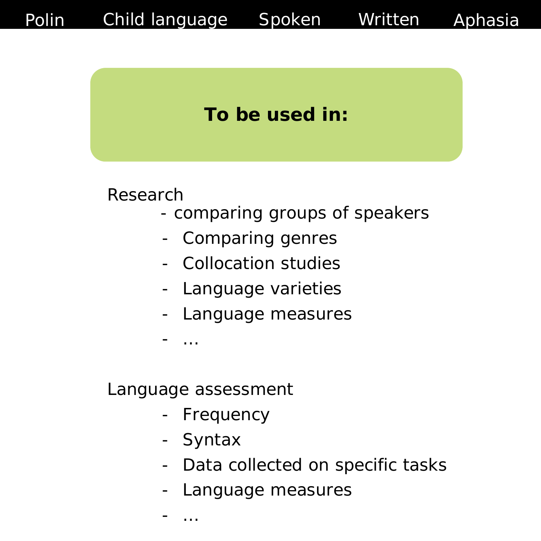



Research

- comparing groups of speakers
- Comparing genres
- Collocation studies
- Language varieties
- Language measures

- …

Language assessment

- Frequency
- Syntax
- Data collected on specific tasks
- Language measures

- …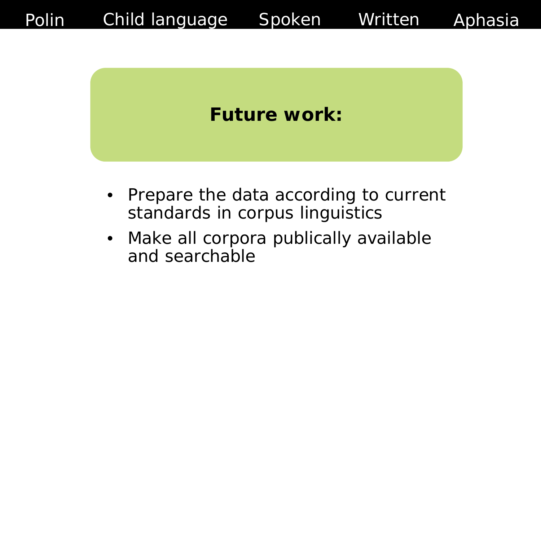



- Prepare the data according to current standards in corpus linguistics
- Make all corpora publically available and searchable